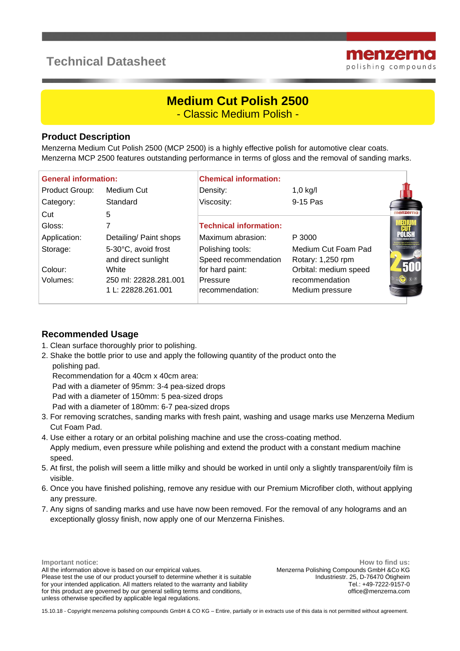## **Technical Datasheet**



# **Medium Cut Polish 2500**

- Classic Medium Polish -

#### **Product Description**

Menzerna Medium Cut Polish 2500 (MCP 2500) is a highly effective polish for automotive clear coats. Menzerna MCP 2500 features outstanding performance in terms of gloss and the removal of sanding marks.

| <b>General information:</b> |                        | <b>Chemical information:</b>  |                       |          |
|-----------------------------|------------------------|-------------------------------|-----------------------|----------|
| Product Group:              | Medium Cut             | Density:                      | $1,0$ kg/l            |          |
| Category:                   | Standard               | Viscosity:                    | 9-15 Pas              |          |
| Cut                         | 5                      |                               |                       | menzerna |
| Gloss:                      |                        | <b>Technical information:</b> |                       |          |
| Application:                | Detailing/ Paint shops | Maximum abrasion:             | P 3000                |          |
| Storage:                    | 5-30°C, avoid frost    | Polishing tools:              | Medium Cut Foam Pad   |          |
|                             | and direct sunlight    | Speed recommendation          | Rotary: 1,250 rpm     |          |
| Colour:                     | White                  | for hard paint:               | Orbital: medium speed |          |
| Volumes:                    | 250 ml: 22828.281.001  | Pressure                      | recommendation        |          |
|                             | 1 L: 22828.261.001     | recommendation:               | Medium pressure       |          |

#### **Recommended Usage**

- 1. Clean surface thoroughly prior to polishing.
- 2. Shake the bottle prior to use and apply the following quantity of the product onto the polishing pad.

Recommendation for a 40cm x 40cm area:

Pad with a diameter of 95mm: 3-4 pea-sized drops

Pad with a diameter of 150mm: 5 pea-sized drops

Pad with a diameter of 180mm: 6-7 pea-sized drops

- 3. For removing scratches, sanding marks with fresh paint, washing and usage marks use Menzerna Medium Cut Foam Pad.
- 4. Use either a rotary or an orbital polishing machine and use the cross-coating method. Apply medium, even pressure while polishing and extend the product with a constant medium machine speed.
- 5. At first, the polish will seem a little milky and should be worked in until only a slightly transparent/oily film is visible.
- 6. Once you have finished polishing, remove any residue with our Premium Microfiber cloth, without applying any pressure.
- 7. Any signs of sanding marks and use have now been removed. For the removal of any holograms and an exceptionally glossy finish, now apply one of our Menzerna Finishes.

**Important notice**: All the information above is based on our empirical values. Please test the use of our product yourself to determine whether it is suitable for your intended application. All matters related to the warranty and liability for this product are governed by our general selling terms and conditions, unless otherwise specified by applicable legal regulations.

**How to find us:** Menzerna Polishing Compounds GmbH &Co KG Industriestr. 25, D-76470 Ötigheim Tel.: +49-7222-9157-0 office@menzerna.com

15.10.18 - Copyright menzerna polishing compounds GmbH & CO KG – Entire, partially or in extracts use of this data is not permitted without agreement.